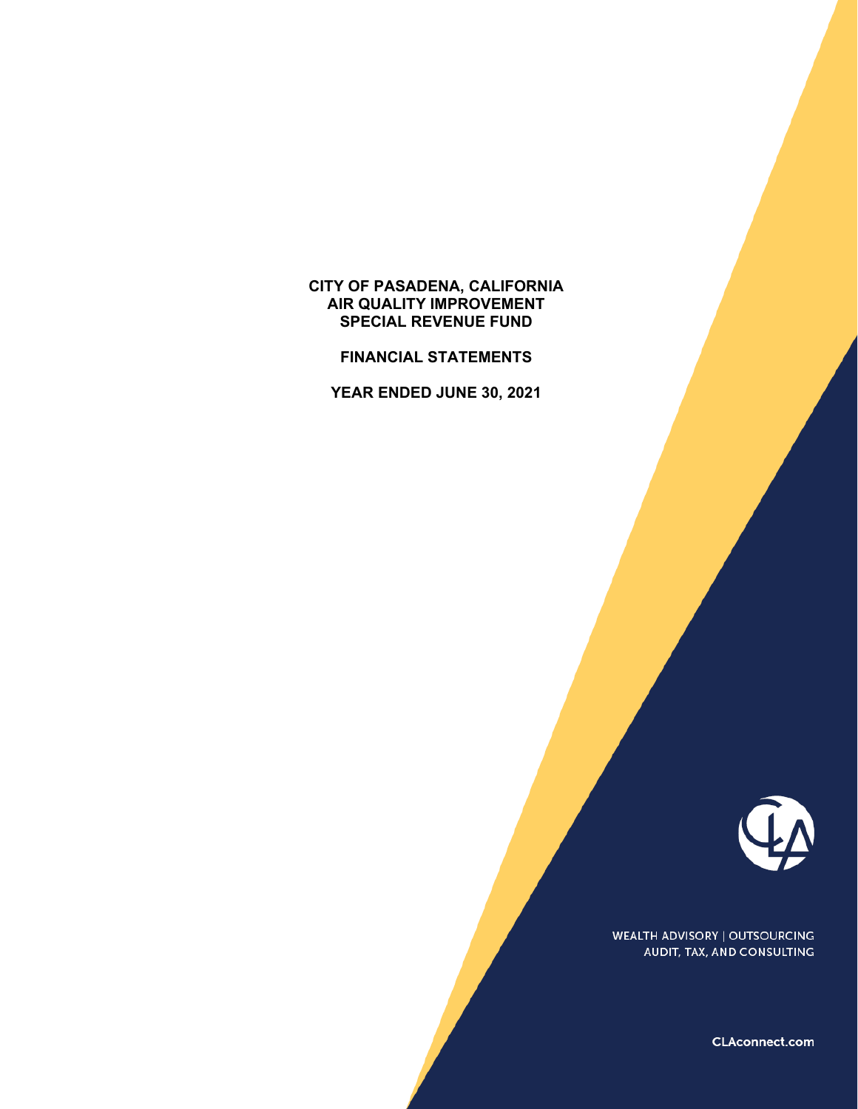## **CITY OF PASADENA, CALIFORNIA AIR QUALITY IMPROVEMENT SPECIAL REVENUE FUND**

**FINANCIAL STATEMENTS** 

**YEAR ENDED JUNE 30, 2021** 



**WEALTH ADVISORY | OUTSOURCING** AUDIT, TAX, AND CONSULTING

CLAconnect.com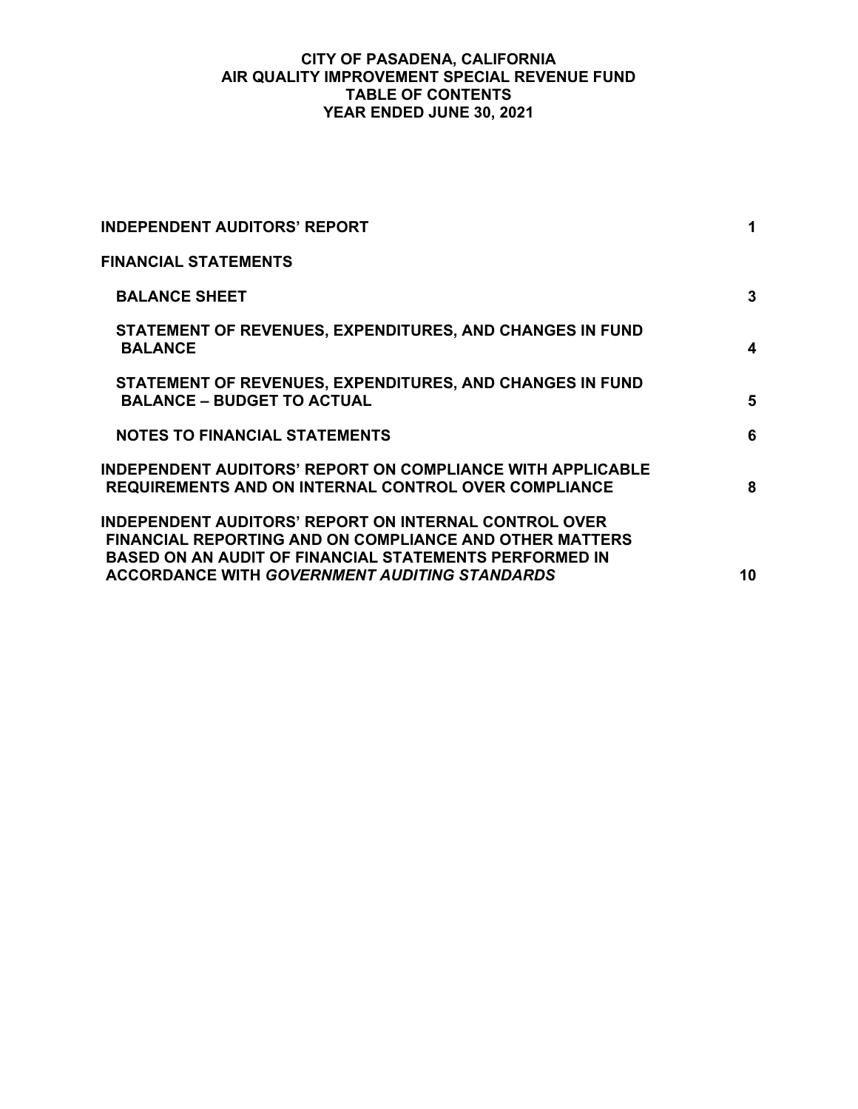## **CITY OF PASADENA, CALIFORNIA AIR QUALITY IMPROVEMENT SPECIAL REVENUE FUND TABLE OF CONTENTS YEAR ENDED JUNE 30, 2021**

| <b>INDEPENDENT AUDITORS' REPORT</b>                                                                                                                                                                                                                     | 1  |
|---------------------------------------------------------------------------------------------------------------------------------------------------------------------------------------------------------------------------------------------------------|----|
| <b>FINANCIAL STATEMENTS</b>                                                                                                                                                                                                                             |    |
| <b>BALANCE SHEET</b>                                                                                                                                                                                                                                    | 3  |
| STATEMENT OF REVENUES, EXPENDITURES, AND CHANGES IN FUND<br><b>BALANCE</b>                                                                                                                                                                              | 4  |
| STATEMENT OF REVENUES, EXPENDITURES, AND CHANGES IN FUND<br><b>BALANCE - BUDGET TO ACTUAL</b>                                                                                                                                                           | 5  |
| <b>NOTES TO FINANCIAL STATEMENTS</b>                                                                                                                                                                                                                    | 6  |
| <b>INDEPENDENT AUDITORS' REPORT ON COMPLIANCE WITH APPLICABLE</b><br><b>REQUIREMENTS AND ON INTERNAL CONTROL OVER COMPLIANCE</b>                                                                                                                        | 8  |
| <b>INDEPENDENT AUDITORS' REPORT ON INTERNAL CONTROL OVER</b><br><b>FINANCIAL REPORTING AND ON COMPLIANCE AND OTHER MATTERS</b><br><b>BASED ON AN AUDIT OF FINANCIAL STATEMENTS PERFORMED IN</b><br><b>ACCORDANCE WITH GOVERNMENT AUDITING STANDARDS</b> | 10 |
|                                                                                                                                                                                                                                                         |    |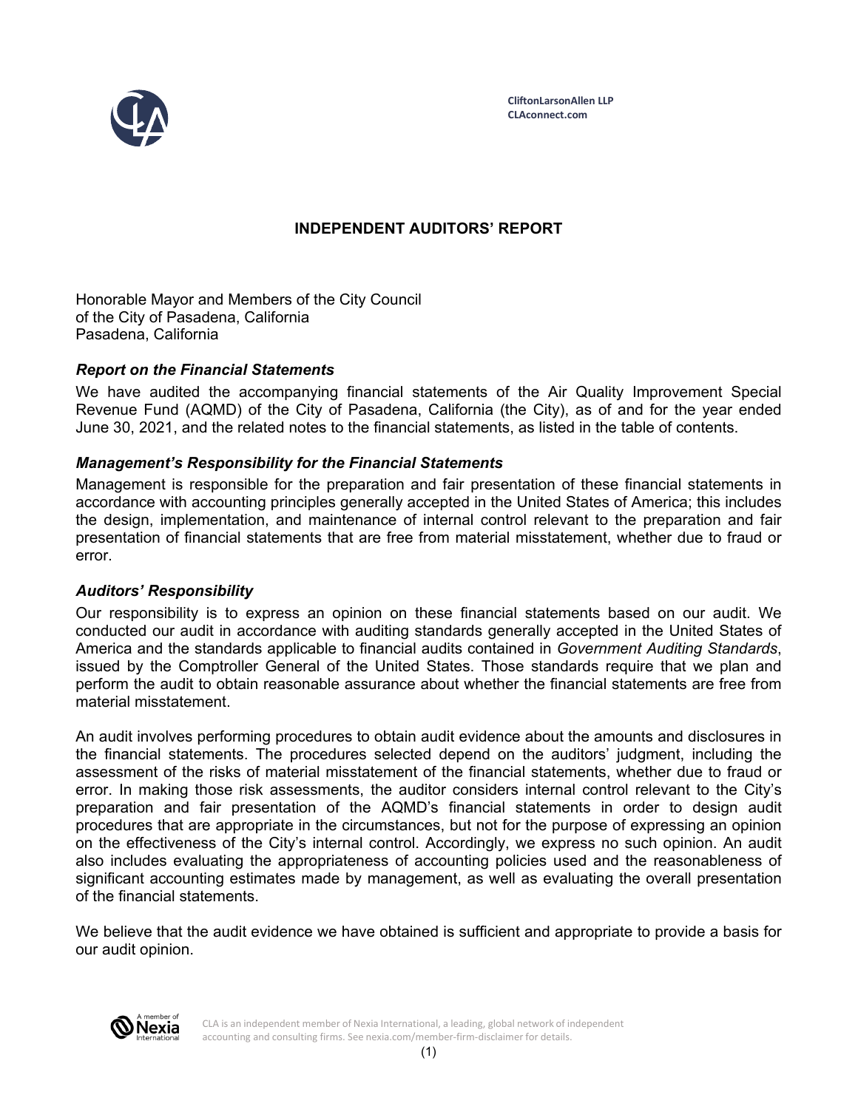

# **INDEPENDENT AUDITORS' REPORT**

Honorable Mayor and Members of the City Council of the City of Pasadena, California Pasadena, California

## *Report on the Financial Statements*

We have audited the accompanying financial statements of the Air Quality Improvement Special Revenue Fund (AQMD) of the City of Pasadena, California (the City), as of and for the year ended June 30, 2021, and the related notes to the financial statements, as listed in the table of contents.

### *Management's Responsibility for the Financial Statements*

Management is responsible for the preparation and fair presentation of these financial statements in accordance with accounting principles generally accepted in the United States of America; this includes the design, implementation, and maintenance of internal control relevant to the preparation and fair presentation of financial statements that are free from material misstatement, whether due to fraud or error.

#### *Auditors' Responsibility*

Our responsibility is to express an opinion on these financial statements based on our audit. We conducted our audit in accordance with auditing standards generally accepted in the United States of America and the standards applicable to financial audits contained in *Government Auditing Standards*, issued by the Comptroller General of the United States. Those standards require that we plan and perform the audit to obtain reasonable assurance about whether the financial statements are free from material misstatement.

An audit involves performing procedures to obtain audit evidence about the amounts and disclosures in the financial statements. The procedures selected depend on the auditors' judgment, including the assessment of the risks of material misstatement of the financial statements, whether due to fraud or error. In making those risk assessments, the auditor considers internal control relevant to the City's preparation and fair presentation of the AQMD's financial statements in order to design audit procedures that are appropriate in the circumstances, but not for the purpose of expressing an opinion on the effectiveness of the City's internal control. Accordingly, we express no such opinion. An audit also includes evaluating the appropriateness of accounting policies used and the reasonableness of significant accounting estimates made by management, as well as evaluating the overall presentation of the financial statements.

We believe that the audit evidence we have obtained is sufficient and appropriate to provide a basis for our audit opinion.



CLA is an independent member of Nexia International, a leading, global network of independent accounting and consulting firms. See nexia.com/member-firm-disclaimer for details.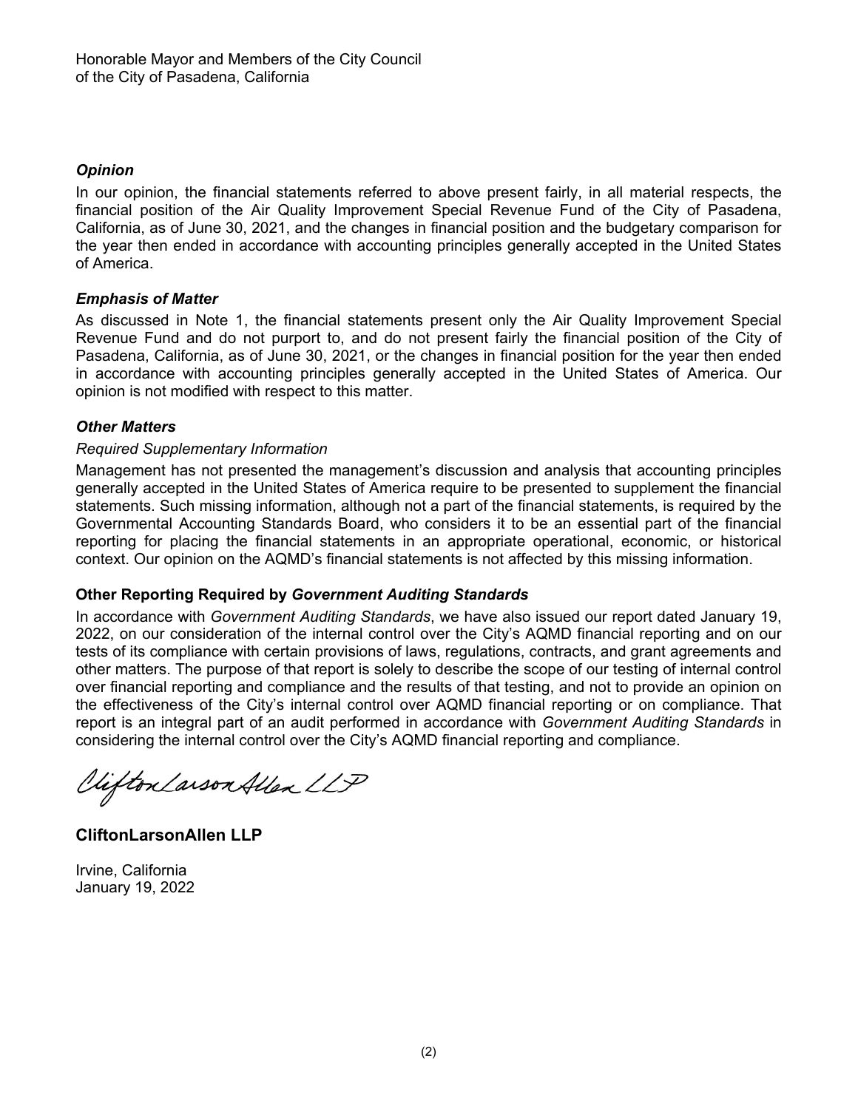# *Opinion*

In our opinion, the financial statements referred to above present fairly, in all material respects, the financial position of the Air Quality Improvement Special Revenue Fund of the City of Pasadena, California, as of June 30, 2021, and the changes in financial position and the budgetary comparison for the year then ended in accordance with accounting principles generally accepted in the United States of America.

# *Emphasis of Matter*

As discussed in Note 1, the financial statements present only the Air Quality Improvement Special Revenue Fund and do not purport to, and do not present fairly the financial position of the City of Pasadena, California, as of June 30, 2021, or the changes in financial position for the year then ended in accordance with accounting principles generally accepted in the United States of America. Our opinion is not modified with respect to this matter.

# *Other Matters*

## *Required Supplementary Information*

Management has not presented the management's discussion and analysis that accounting principles generally accepted in the United States of America require to be presented to supplement the financial statements. Such missing information, although not a part of the financial statements, is required by the Governmental Accounting Standards Board, who considers it to be an essential part of the financial reporting for placing the financial statements in an appropriate operational, economic, or historical context. Our opinion on the AQMD's financial statements is not affected by this missing information.

## **Other Reporting Required by** *Government Auditing Standards*

In accordance with *Government Auditing Standards*, we have also issued our report dated January 19, 2022, on our consideration of the internal control over the City's AQMD financial reporting and on our tests of its compliance with certain provisions of laws, regulations, contracts, and grant agreements and other matters. The purpose of that report is solely to describe the scope of our testing of internal control over financial reporting and compliance and the results of that testing, and not to provide an opinion on the effectiveness of the City's internal control over AQMD financial reporting or on compliance. That report is an integral part of an audit performed in accordance with *Government Auditing Standards* in considering the internal control over the City's AQMD financial reporting and compliance.

Viifton Larson Allen LLP

**CliftonLarsonAllen LLP** 

Irvine, California January 19, 2022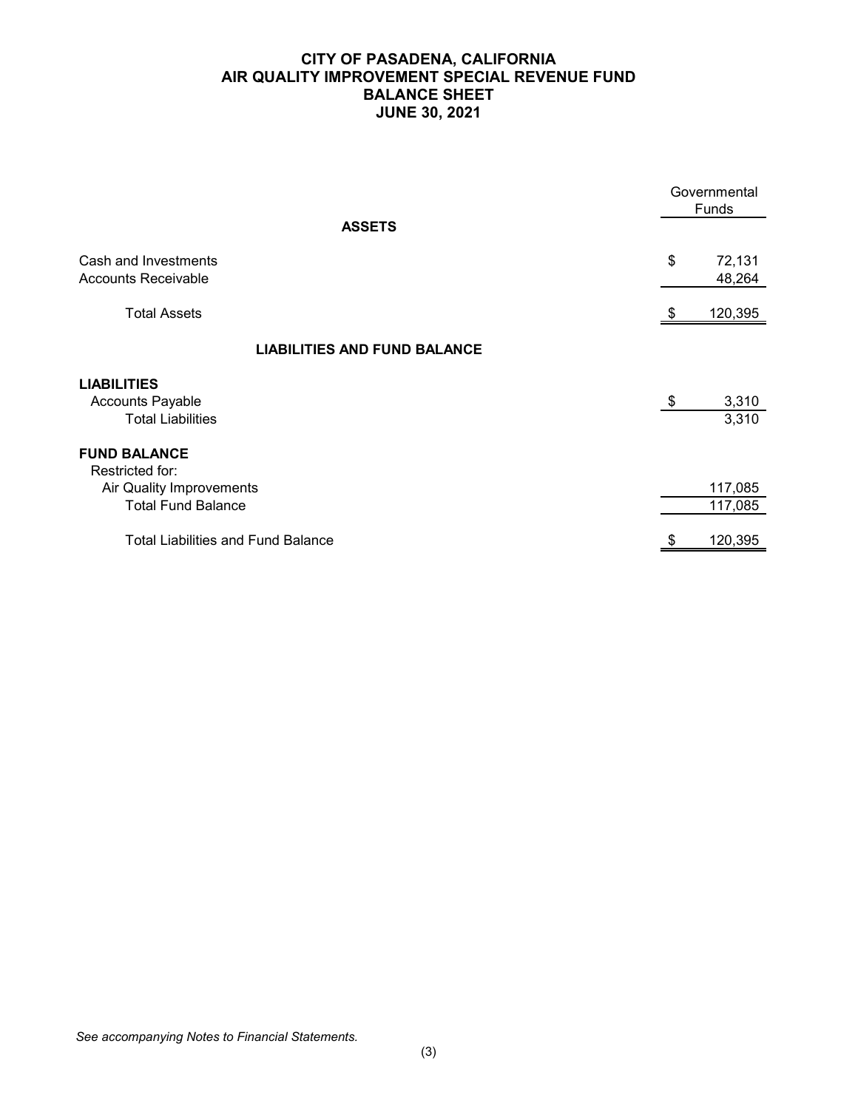## **CITY OF PASADENA, CALIFORNIA AIR QUALITY IMPROVEMENT SPECIAL REVENUE FUND BALANCE SHEET JUNE 30, 2021**

|                                                                                                 | Governmental<br>Funds |                    |
|-------------------------------------------------------------------------------------------------|-----------------------|--------------------|
| <b>ASSETS</b>                                                                                   |                       |                    |
| Cash and Investments<br>Accounts Receivable                                                     | \$                    | 72,131<br>48,264   |
| <b>Total Assets</b>                                                                             |                       | 120,395            |
| <b>LIABILITIES AND FUND BALANCE</b>                                                             |                       |                    |
| <b>LIABILITIES</b><br><b>Accounts Payable</b><br><b>Total Liabilities</b>                       | - \$                  | 3,310<br>3,310     |
| <b>FUND BALANCE</b><br>Restricted for:<br>Air Quality Improvements<br><b>Total Fund Balance</b> |                       | 117,085<br>117,085 |
| <b>Total Liabilities and Fund Balance</b>                                                       |                       | 120,395            |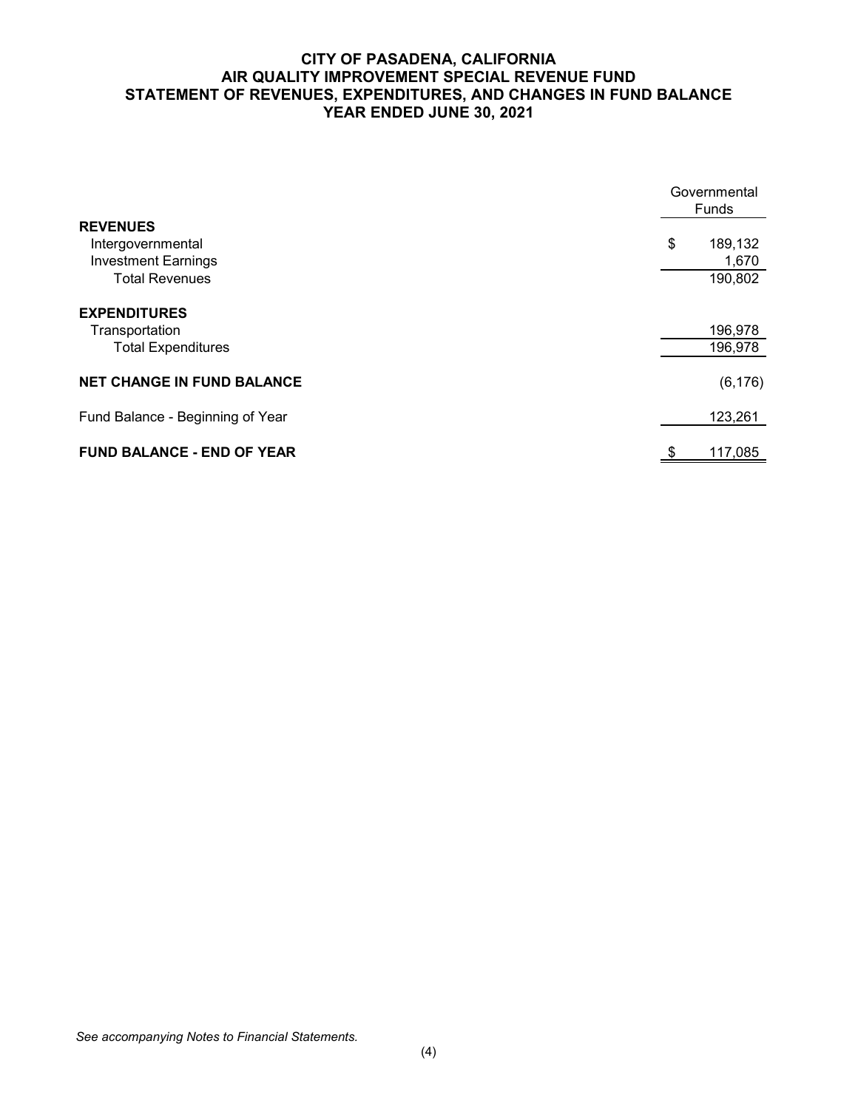## **CITY OF PASADENA, CALIFORNIA AIR QUALITY IMPROVEMENT SPECIAL REVENUE FUND STATEMENT OF REVENUES, EXPENDITURES, AND CHANGES IN FUND BALANCE YEAR ENDED JUNE 30, 2021**

|                                   | Governmental<br>Funds |  |  |
|-----------------------------------|-----------------------|--|--|
| <b>REVENUES</b>                   |                       |  |  |
| Intergovernmental                 | \$<br>189,132         |  |  |
| <b>Investment Earnings</b>        | 1,670                 |  |  |
| <b>Total Revenues</b>             | 190,802               |  |  |
| <b>EXPENDITURES</b>               |                       |  |  |
| Transportation                    | 196,978               |  |  |
| <b>Total Expenditures</b>         | 196,978               |  |  |
| <b>NET CHANGE IN FUND BALANCE</b> | (6, 176)              |  |  |
| Fund Balance - Beginning of Year  | 123,261               |  |  |
| <b>FUND BALANCE - END OF YEAR</b> | \$<br>117,085         |  |  |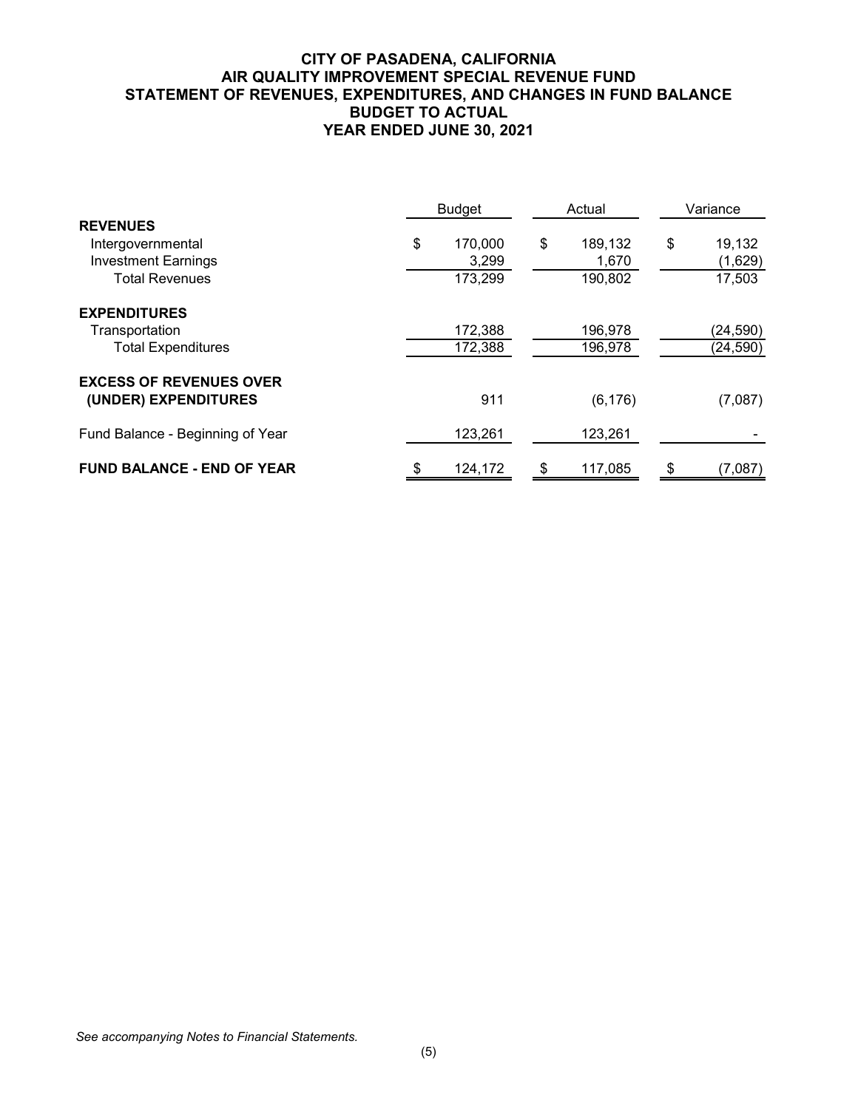## **CITY OF PASADENA, CALIFORNIA AIR QUALITY IMPROVEMENT SPECIAL REVENUE FUND STATEMENT OF REVENUES, EXPENDITURES, AND CHANGES IN FUND BALANCE BUDGET TO ACTUAL YEAR ENDED JUNE 30, 2021**

| <b>Budget</b>                                          |    | Actual  |    | Variance |    |           |
|--------------------------------------------------------|----|---------|----|----------|----|-----------|
| <b>REVENUES</b><br>Intergovernmental                   | \$ | 170,000 | \$ | 189,132  | \$ | 19,132    |
| <b>Investment Earnings</b>                             |    | 3,299   |    | 1,670    |    | (1,629)   |
| <b>Total Revenues</b>                                  |    | 173,299 |    | 190,802  |    | 17,503    |
| <b>EXPENDITURES</b>                                    |    |         |    |          |    |           |
| Transportation                                         |    | 172,388 |    | 196,978  |    | (24, 590) |
| <b>Total Expenditures</b>                              |    | 172,388 |    | 196,978  |    | (24, 590) |
| <b>EXCESS OF REVENUES OVER</b><br>(UNDER) EXPENDITURES |    | 911     |    | (6, 176) |    | (7,087)   |
| Fund Balance - Beginning of Year                       |    | 123,261 |    | 123,261  |    |           |
| <b>FUND BALANCE - END OF YEAR</b>                      | S  | 124,172 | \$ | 117,085  | \$ | (7,087)   |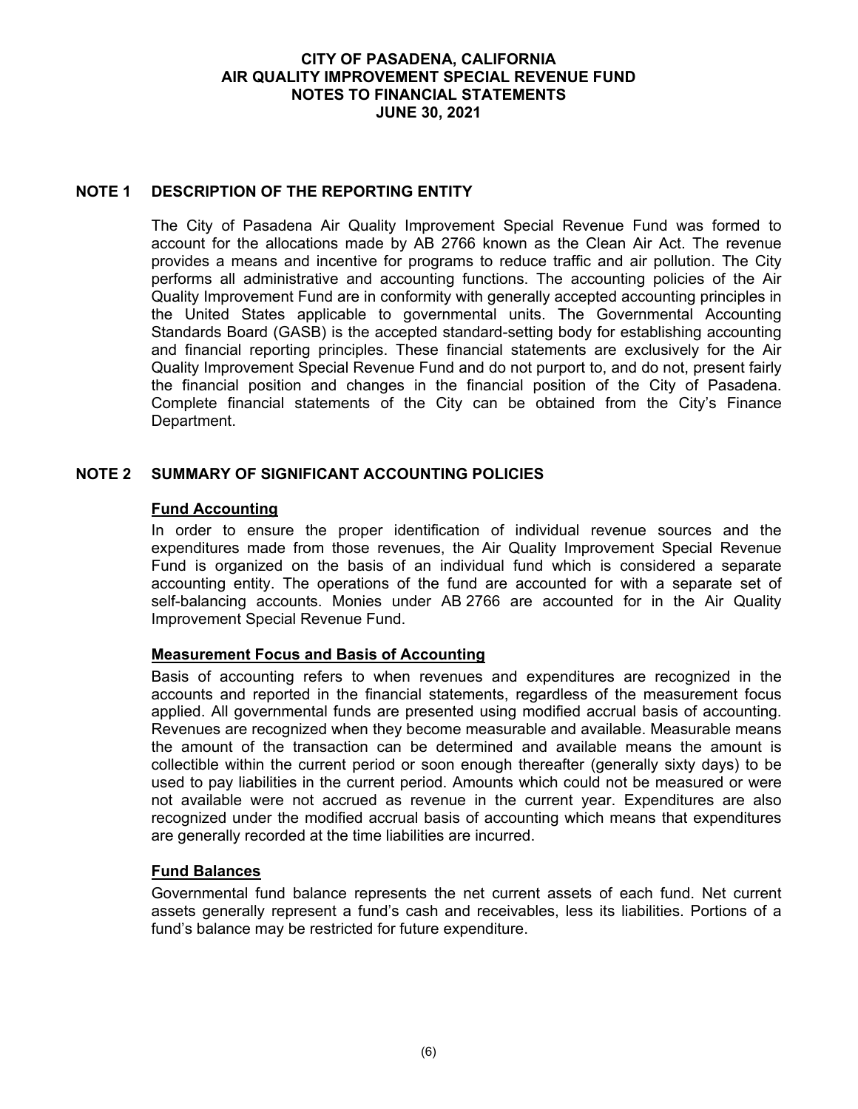#### **CITY OF PASADENA, CALIFORNIA AIR QUALITY IMPROVEMENT SPECIAL REVENUE FUND NOTES TO FINANCIAL STATEMENTS JUNE 30, 2021**

### **NOTE 1 DESCRIPTION OF THE REPORTING ENTITY**

The City of Pasadena Air Quality Improvement Special Revenue Fund was formed to account for the allocations made by AB 2766 known as the Clean Air Act. The revenue provides a means and incentive for programs to reduce traffic and air pollution. The City performs all administrative and accounting functions. The accounting policies of the Air Quality Improvement Fund are in conformity with generally accepted accounting principles in the United States applicable to governmental units. The Governmental Accounting Standards Board (GASB) is the accepted standard-setting body for establishing accounting and financial reporting principles. These financial statements are exclusively for the Air Quality Improvement Special Revenue Fund and do not purport to, and do not, present fairly the financial position and changes in the financial position of the City of Pasadena. Complete financial statements of the City can be obtained from the City's Finance Department.

### **NOTE 2 SUMMARY OF SIGNIFICANT ACCOUNTING POLICIES**

#### **Fund Accounting**

In order to ensure the proper identification of individual revenue sources and the expenditures made from those revenues, the Air Quality Improvement Special Revenue Fund is organized on the basis of an individual fund which is considered a separate accounting entity. The operations of the fund are accounted for with a separate set of self-balancing accounts. Monies under AB 2766 are accounted for in the Air Quality Improvement Special Revenue Fund.

#### **Measurement Focus and Basis of Accounting**

Basis of accounting refers to when revenues and expenditures are recognized in the accounts and reported in the financial statements, regardless of the measurement focus applied. All governmental funds are presented using modified accrual basis of accounting. Revenues are recognized when they become measurable and available. Measurable means the amount of the transaction can be determined and available means the amount is collectible within the current period or soon enough thereafter (generally sixty days) to be used to pay liabilities in the current period. Amounts which could not be measured or were not available were not accrued as revenue in the current year. Expenditures are also recognized under the modified accrual basis of accounting which means that expenditures are generally recorded at the time liabilities are incurred.

#### **Fund Balances**

Governmental fund balance represents the net current assets of each fund. Net current assets generally represent a fund's cash and receivables, less its liabilities. Portions of a fund's balance may be restricted for future expenditure.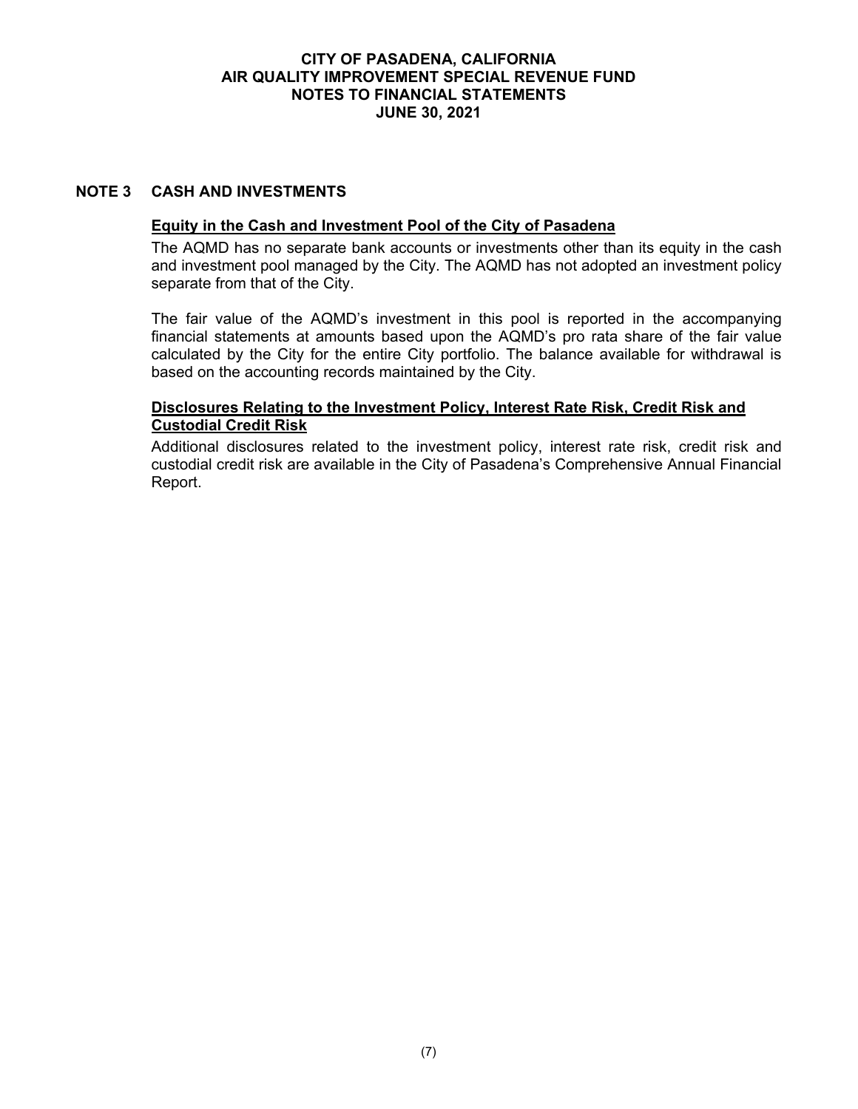### **CITY OF PASADENA, CALIFORNIA AIR QUALITY IMPROVEMENT SPECIAL REVENUE FUND NOTES TO FINANCIAL STATEMENTS JUNE 30, 2021**

### **NOTE 3 CASH AND INVESTMENTS**

### **Equity in the Cash and Investment Pool of the City of Pasadena**

The AQMD has no separate bank accounts or investments other than its equity in the cash and investment pool managed by the City. The AQMD has not adopted an investment policy separate from that of the City.

The fair value of the AQMD's investment in this pool is reported in the accompanying financial statements at amounts based upon the AQMD's pro rata share of the fair value calculated by the City for the entire City portfolio. The balance available for withdrawal is based on the accounting records maintained by the City.

### **Disclosures Relating to the Investment Policy, Interest Rate Risk, Credit Risk and Custodial Credit Risk**

Additional disclosures related to the investment policy, interest rate risk, credit risk and custodial credit risk are available in the City of Pasadena's Comprehensive Annual Financial Report.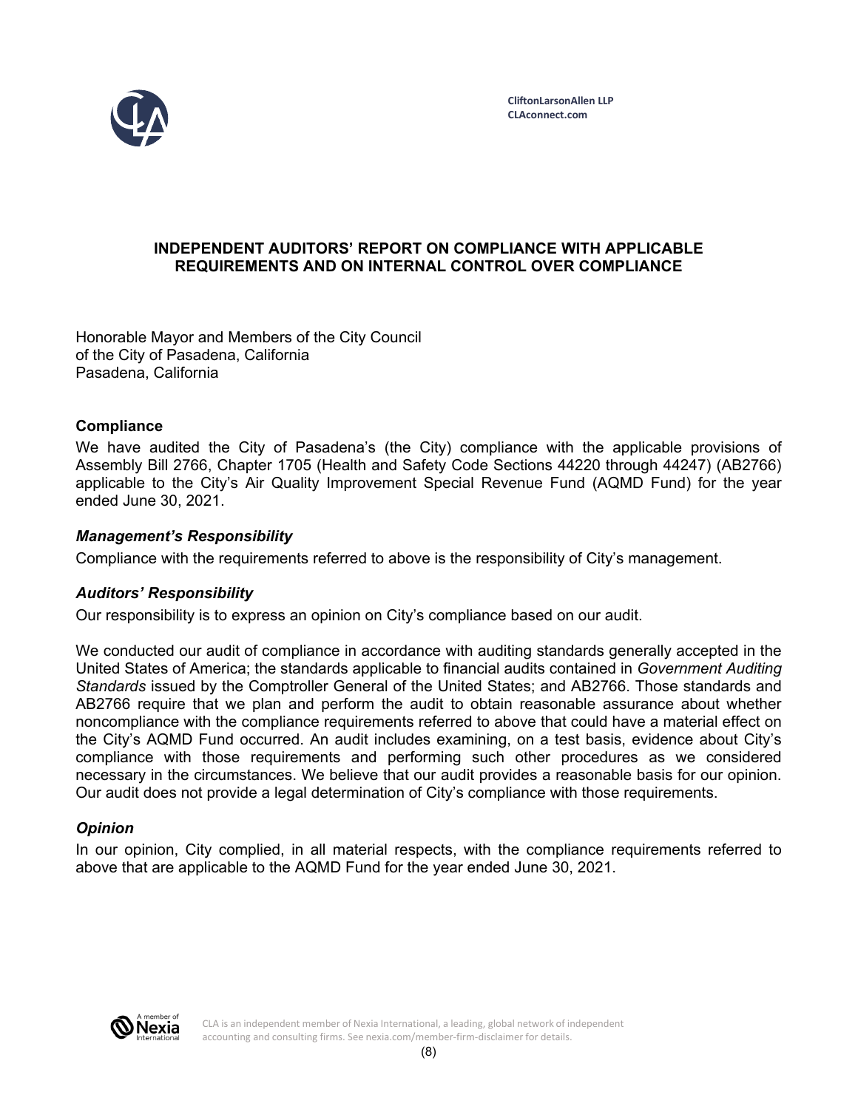

## **INDEPENDENT AUDITORS' REPORT ON COMPLIANCE WITH APPLICABLE REQUIREMENTS AND ON INTERNAL CONTROL OVER COMPLIANCE**

Honorable Mayor and Members of the City Council of the City of Pasadena, California Pasadena, California

## **Compliance**

We have audited the City of Pasadena's (the City) compliance with the applicable provisions of Assembly Bill 2766, Chapter 1705 (Health and Safety Code Sections 44220 through 44247) (AB2766) applicable to the City's Air Quality Improvement Special Revenue Fund (AQMD Fund) for the year ended June 30, 2021.

### *Management's Responsibility*

Compliance with the requirements referred to above is the responsibility of City's management.

#### *Auditors' Responsibility*

Our responsibility is to express an opinion on City's compliance based on our audit.

We conducted our audit of compliance in accordance with auditing standards generally accepted in the United States of America; the standards applicable to financial audits contained in *Government Auditing Standards* issued by the Comptroller General of the United States; and AB2766. Those standards and AB2766 require that we plan and perform the audit to obtain reasonable assurance about whether noncompliance with the compliance requirements referred to above that could have a material effect on the City's AQMD Fund occurred. An audit includes examining, on a test basis, evidence about City's compliance with those requirements and performing such other procedures as we considered necessary in the circumstances. We believe that our audit provides a reasonable basis for our opinion. Our audit does not provide a legal determination of City's compliance with those requirements.

#### *Opinion*

In our opinion, City complied, in all material respects, with the compliance requirements referred to above that are applicable to the AQMD Fund for the year ended June 30, 2021.



CLA is an independent member of Nexia International, a leading, global network of independent accounting and consulting firms. See nexia.com/member-firm-disclaimer for details.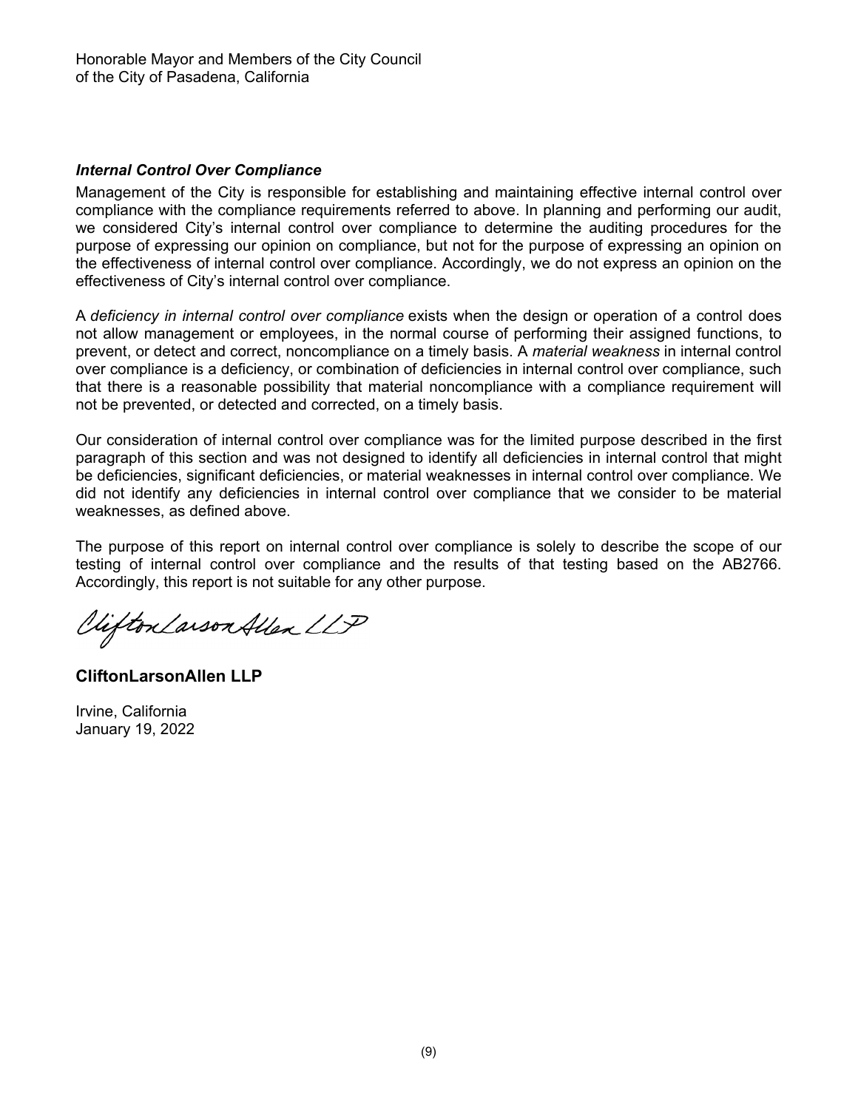## *Internal Control Over Compliance*

Management of the City is responsible for establishing and maintaining effective internal control over compliance with the compliance requirements referred to above. In planning and performing our audit, we considered City's internal control over compliance to determine the auditing procedures for the purpose of expressing our opinion on compliance, but not for the purpose of expressing an opinion on the effectiveness of internal control over compliance. Accordingly, we do not express an opinion on the effectiveness of City's internal control over compliance.

A *deficiency in internal control over compliance* exists when the design or operation of a control does not allow management or employees, in the normal course of performing their assigned functions, to prevent, or detect and correct, noncompliance on a timely basis. A *material weakness* in internal control over compliance is a deficiency, or combination of deficiencies in internal control over compliance, such that there is a reasonable possibility that material noncompliance with a compliance requirement will not be prevented, or detected and corrected, on a timely basis.

Our consideration of internal control over compliance was for the limited purpose described in the first paragraph of this section and was not designed to identify all deficiencies in internal control that might be deficiencies, significant deficiencies, or material weaknesses in internal control over compliance. We did not identify any deficiencies in internal control over compliance that we consider to be material weaknesses, as defined above.

The purpose of this report on internal control over compliance is solely to describe the scope of our testing of internal control over compliance and the results of that testing based on the AB2766. Accordingly, this report is not suitable for any other purpose.

Vifton Larson Allen LLP

**CliftonLarsonAllen LLP** 

Irvine, California January 19, 2022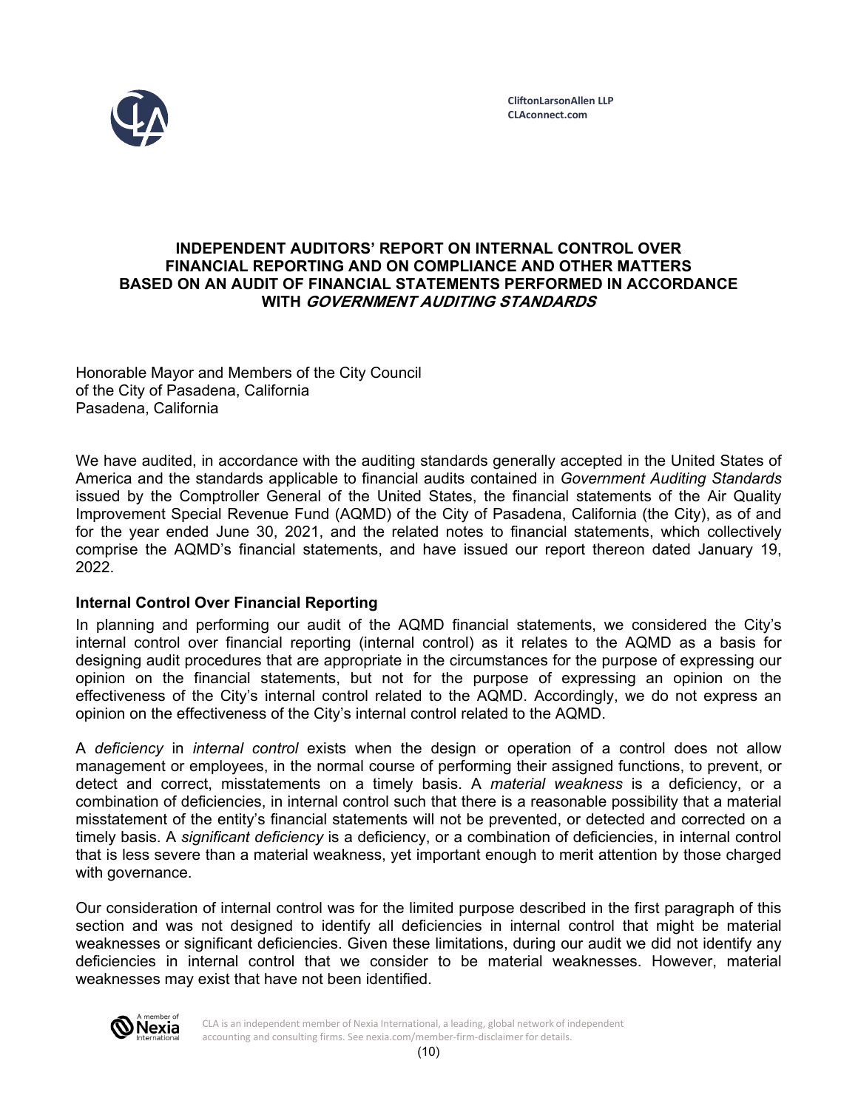

### **INDEPENDENT AUDITORS' REPORT ON INTERNAL CONTROL OVER FINANCIAL REPORTING AND ON COMPLIANCE AND OTHER MATTERS BASED ON AN AUDIT OF FINANCIAL STATEMENTS PERFORMED IN ACCORDANCE WITH GOVERNMENT AUDITING STANDARDS**

Honorable Mayor and Members of the City Council of the City of Pasadena, California Pasadena, California

We have audited, in accordance with the auditing standards generally accepted in the United States of America and the standards applicable to financial audits contained in *Government Auditing Standards*  issued by the Comptroller General of the United States, the financial statements of the Air Quality Improvement Special Revenue Fund (AQMD) of the City of Pasadena, California (the City), as of and for the year ended June 30, 2021, and the related notes to financial statements, which collectively comprise the AQMD's financial statements, and have issued our report thereon dated January 19, 2022.

## **Internal Control Over Financial Reporting**

In planning and performing our audit of the AQMD financial statements, we considered the City's internal control over financial reporting (internal control) as it relates to the AQMD as a basis for designing audit procedures that are appropriate in the circumstances for the purpose of expressing our opinion on the financial statements, but not for the purpose of expressing an opinion on the effectiveness of the City's internal control related to the AQMD. Accordingly, we do not express an opinion on the effectiveness of the City's internal control related to the AQMD.

A *deficiency* in *internal control* exists when the design or operation of a control does not allow management or employees, in the normal course of performing their assigned functions, to prevent, or detect and correct, misstatements on a timely basis. A *material weakness* is a deficiency, or a combination of deficiencies, in internal control such that there is a reasonable possibility that a material misstatement of the entity's financial statements will not be prevented, or detected and corrected on a timely basis. A *significant deficiency* is a deficiency, or a combination of deficiencies, in internal control that is less severe than a material weakness, yet important enough to merit attention by those charged with governance.

Our consideration of internal control was for the limited purpose described in the first paragraph of this section and was not designed to identify all deficiencies in internal control that might be material weaknesses or significant deficiencies. Given these limitations, during our audit we did not identify any deficiencies in internal control that we consider to be material weaknesses. However, material weaknesses may exist that have not been identified.



CLA is an independent member of Nexia International, a leading, global network of independent accounting and consulting firms. See nexia.com/member-firm-disclaimer for details.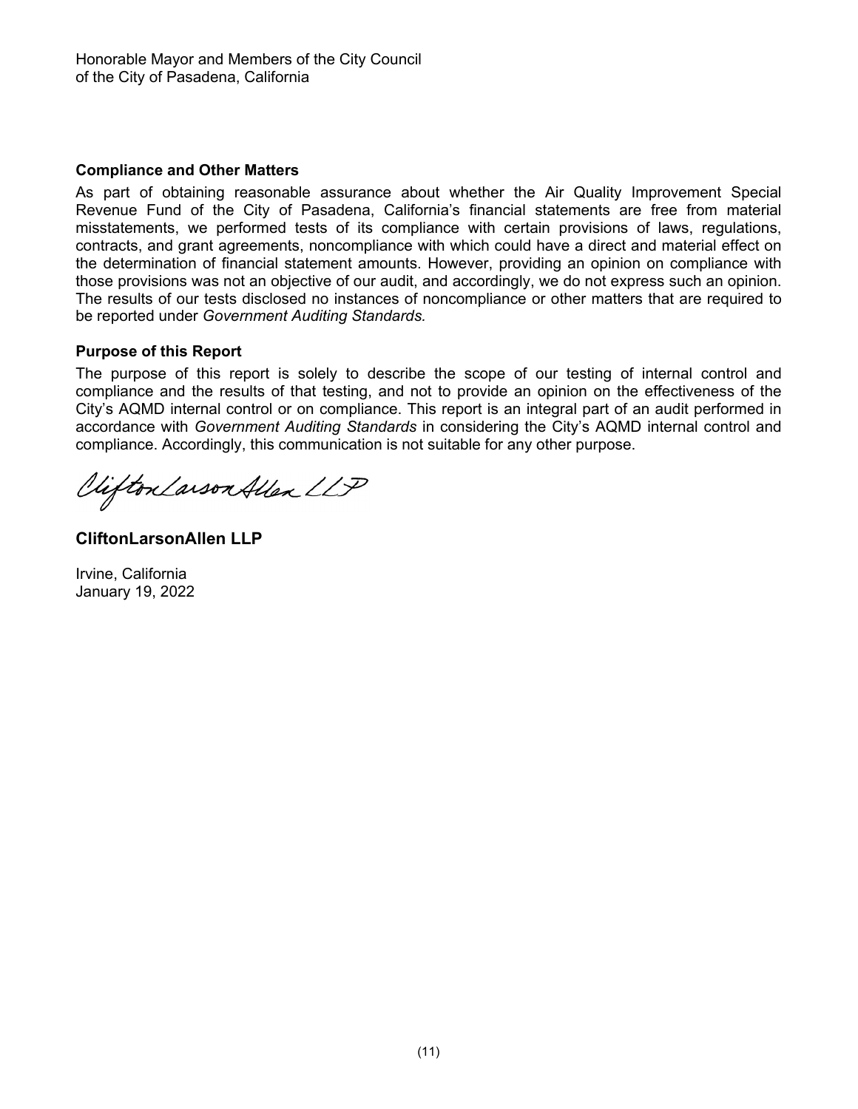### **Compliance and Other Matters**

As part of obtaining reasonable assurance about whether the Air Quality Improvement Special Revenue Fund of the City of Pasadena, California's financial statements are free from material misstatements, we performed tests of its compliance with certain provisions of laws, regulations, contracts, and grant agreements, noncompliance with which could have a direct and material effect on the determination of financial statement amounts. However, providing an opinion on compliance with those provisions was not an objective of our audit, and accordingly, we do not express such an opinion. The results of our tests disclosed no instances of noncompliance or other matters that are required to be reported under *Government Auditing Standards.* 

### **Purpose of this Report**

The purpose of this report is solely to describe the scope of our testing of internal control and compliance and the results of that testing, and not to provide an opinion on the effectiveness of the City's AQMD internal control or on compliance. This report is an integral part of an audit performed in accordance with *Government Auditing Standards* in considering the City's AQMD internal control and compliance. Accordingly, this communication is not suitable for any other purpose.

Viifton Larson Allen LLP

**CliftonLarsonAllen LLP** 

Irvine, California January 19, 2022